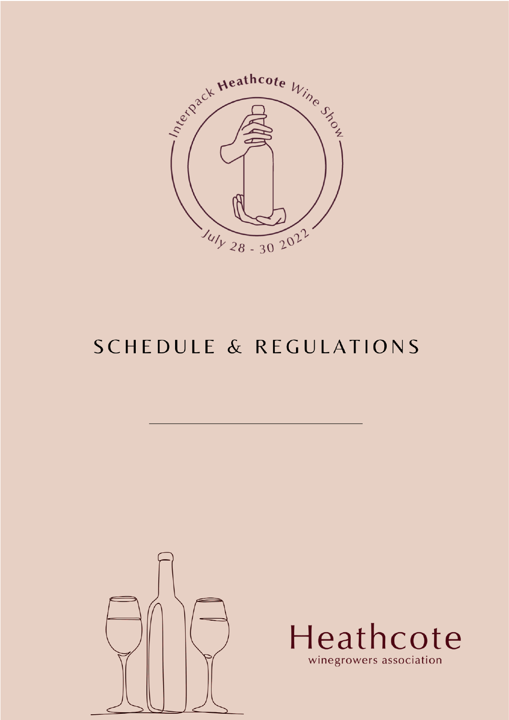

# **SCHEDULE & REGULATIONS**





winegrowers association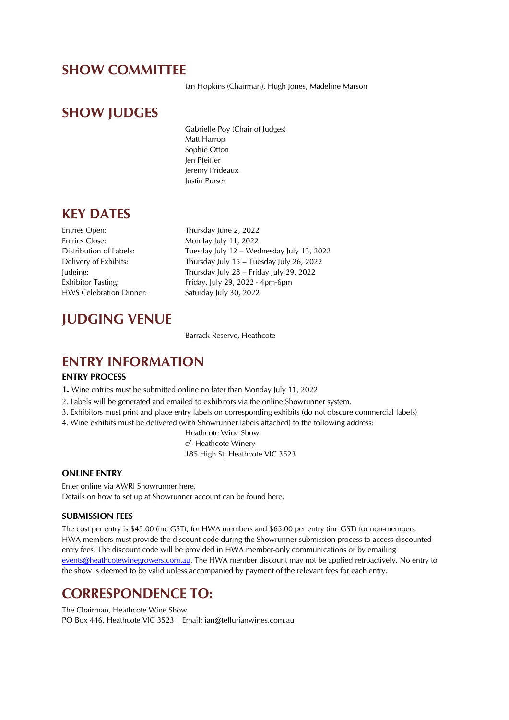### SHOW COMMITTEE

Ian Hopkins (Chairman), Hugh Jones, Madeline Marson

### SHOW JUDGES

Gabrielle Poy (Chair of Judges) Matt Harrop Sophie Otton Jen Pfeiffer Jeremy Prideaux Justin Purser

### KEY DATES

Entries Open: Thursday June 2, 2022 Entries Close: Monday July 11, 2022 HWS Celebration Dinner: Saturday July 30, 2022

Distribution of Labels: Tuesday July 12 – Wednesday July 13, 2022 Delivery of Exhibits: Thursday July 15 – Tuesday July 26, 2022 Judging: Thursday July 28 – Friday July 29, 2022 Exhibitor Tasting: Friday, July 29, 2022 - 4pm-6pm

## JUDGING VENUE

Barrack Reserve, Heathcote

### ENTRY INFORMATION

#### ENTRY PROCESS

1. Wine entries must be submitted online no later than Monday July 11, 2022

- 2. Labels will be generated and emailed to exhibitors via the online Showrunner system.
- 3. Exhibitors must print and place entry labels on corresponding exhibits (do not obscure commercial labels)
- 4. Wine exhibits must be delivered (with Showrunner labels attached) to the following address:

Heathcote Wine Show c/- Heathcote Winery 185 High St, Heathcote VIC 3523

#### ONLINE ENTRY

Enter online via AWRI Showrunner here. Details on how to set up at Showrunner account can be found here.

#### SUBMISSION FEES

The cost per entry is \$45.00 (inc GST), for HWA members and \$65.00 per entry (inc GST) for non-members. HWA members must provide the discount code during the Showrunner submission process to access discounted entry fees. The discount code will be provided in HWA member-only communications or by emailing events@heathcotewinegrowers.com.au. The HWA member discount may not be applied retroactively. No entry to the show is deemed to be valid unless accompanied by payment of the relevant fees for each entry.

### CORRESPONDENCE TO:

The Chairman, Heathcote Wine Show PO Box 446, Heathcote VIC 3523 | Email: ian@tellurianwines.com.au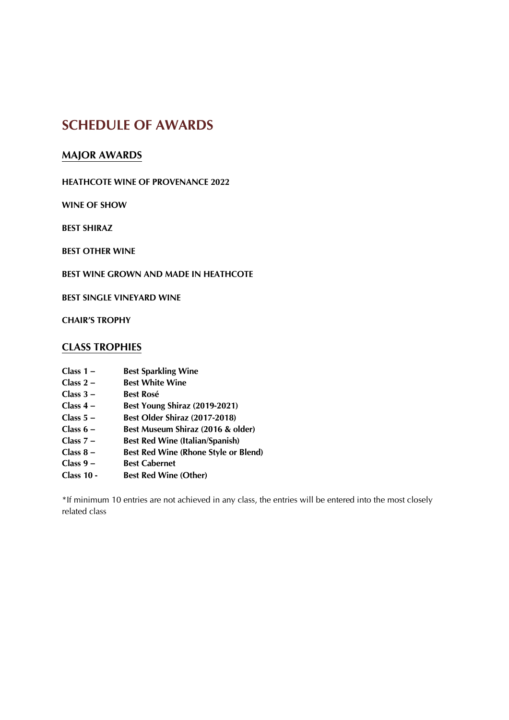# SCHEDULE OF AWARDS

### MAJOR AWARDS

### HEATHCOTE WINE OF PROVENANCE 2022

WINE OF SHOW

BEST SHIRAZ

BEST OTHER WINE

BEST WINE GROWN AND MADE IN HEATHCOTE

BEST SINGLE VINEYARD WINE

CHAIR'S TROPHY

### CLASS TROPHIES

- Class 1 Best Sparkling Wine<br>
Class 2 Best White Wine
- **Best White Wine**
- Class 3 Best Rosé
- Class 4 Best Young Shiraz (2019-2021)
- Class 5 Best Older Shiraz (2017-2018)<br>Class 6 Best Museum Shiraz (2016 & o
- Best Museum Shiraz (2016 & older)
- Class 7 Best Red Wine (Italian/Spanish)
- Class 8 Best Red Wine (Rhone Style or Blend)
- Class 9 Best Cabernet
- Class 10 Best Red Wine (Other)

\*If minimum 10 entries are not achieved in any class, the entries will be entered into the most closely related class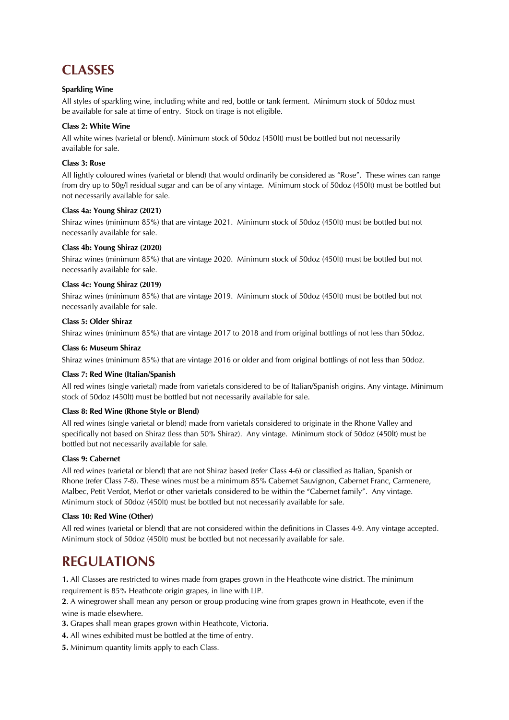# **CLASSES**

#### **Sparkling Wine**

All styles of sparkling wine, including white and red, bottle or tank ferment. Minimum stock of 50doz must be available for sale at time of entry. Stock on tirage is not eligible.

#### Class 2: White Wine

All white wines (varietal or blend). Minimum stock of 50doz (450lt) must be bottled but not necessarily available for sale.

#### Class 3: Rose

All lightly coloured wines (varietal or blend) that would ordinarily be considered as "Rose". These wines can range from dry up to 50g/l residual sugar and can be of any vintage. Minimum stock of 50doz (450lt) must be bottled but not necessarily available for sale.

#### Class 4a: Young Shiraz (2021)

Shiraz wines (minimum 85%) that are vintage 2021. Minimum stock of 50doz (450lt) must be bottled but not necessarily available for sale.

#### Class 4b: Young Shiraz (2020)

Shiraz wines (minimum 85%) that are vintage 2020. Minimum stock of 50doz (450lt) must be bottled but not necessarily available for sale.

#### Class 4c: Young Shiraz (2019)

Shiraz wines (minimum 85%) that are vintage 2019. Minimum stock of 50doz (450lt) must be bottled but not necessarily available for sale.

#### Class 5: Older Shiraz

Shiraz wines (minimum 85%) that are vintage 2017 to 2018 and from original bottlings of not less than 50doz.

#### Class 6: Museum Shiraz

Shiraz wines (minimum 85%) that are vintage 2016 or older and from original bottlings of not less than 50doz.

#### Class 7: Red Wine (Italian/Spanish

All red wines (single varietal) made from varietals considered to be of Italian/Spanish origins. Any vintage. Minimum stock of 50doz (450lt) must be bottled but not necessarily available for sale.

#### Class 8: Red Wine (Rhone Style or Blend)

All red wines (single varietal or blend) made from varietals considered to originate in the Rhone Valley and specifically not based on Shiraz (less than 50% Shiraz). Any vintage. Minimum stock of 50doz (450lt) must be bottled but not necessarily available for sale.

#### Class 9: Cabernet

All red wines (varietal or blend) that are not Shiraz based (refer Class 4-6) or classified as Italian, Spanish or Rhone (refer Class 7-8). These wines must be a minimum 85% Cabernet Sauvignon, Cabernet Franc, Carmenere, Malbec, Petit Verdot, Merlot or other varietals considered to be within the "Cabernet family". Any vintage. Minimum stock of 50doz (450lt) must be bottled but not necessarily available for sale.

#### Class 10: Red Wine (Other)

All red wines (varietal or blend) that are not considered within the definitions in Classes 4-9. Any vintage accepted. Minimum stock of 50doz (450lt) must be bottled but not necessarily available for sale.

## **REGULATIONS**

1. All Classes are restricted to wines made from grapes grown in the Heathcote wine district. The minimum requirement is 85% Heathcote origin grapes, in line with LIP.

2. A winegrower shall mean any person or group producing wine from grapes grown in Heathcote, even if the wine is made elsewhere.

- 3. Grapes shall mean grapes grown within Heathcote, Victoria.
- 4. All wines exhibited must be bottled at the time of entry.
- 5. Minimum quantity limits apply to each Class.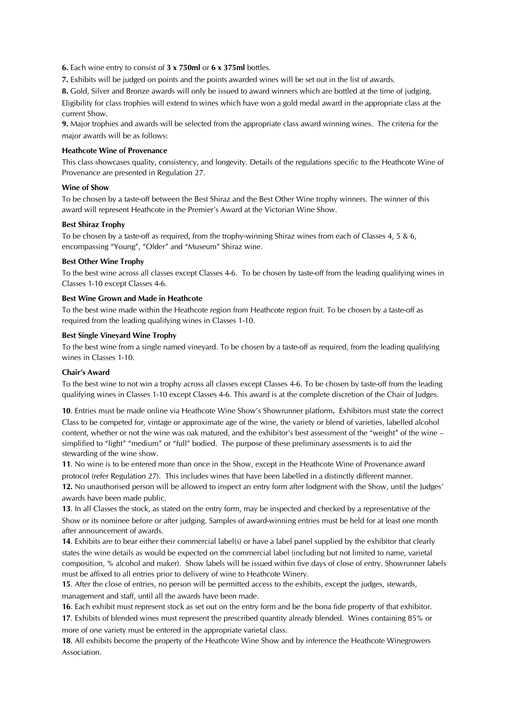6. Each wine entry to consist of 3 x 750ml or 6 x 375ml bottles.

7. Exhibits will be judged on points and the points awarded wines will be set out in the list of awards.

8. Gold, Silver and Bronze awards will only be issued to award winners which are bottled at the time of judging. Eligibility for class trophies will extend to wines which have won a gold medal award in the appropriate class at the current Show.

9. Major trophies and awards will be selected from the appropriate class award winning wines. The criteria for the major awards will be as follows:

#### Heathcote Wine of Provenance

This class showcases quality, consistency, and longevity. Details of the regulations specific to the Heathcote Wine of Provenance are presented in Regulation 27.

#### Wine of Show

To be chosen by a taste-off between the Best Shiraz and the Best Other Wine trophy winners. The winner of this award will represent Heathcote in the Premier's Award at the Victorian Wine Show.

#### Best Shiraz Trophy

To be chosen by a taste-off as required, from the trophy-winning Shiraz wines from each of Classes 4, 5 & 6, encompassing "Young", "Older" and "Museum" Shiraz wine.

#### Best Other Wine Trophy

To the best wine across all classes except Classes 4-6. To be chosen by taste-off from the leading qualifying wines in Classes 1-10 except Classes 4-6.

#### Best Wine Grown and Made in Heathcote

To the best wine made within the Heathcote region from Heathcote region fruit. To be chosen by a taste-off as required from the leading qualifying wines in Classes 1-10.

#### Best Single Vineyard Wine Trophy

To the best wine from a single named vineyard. To be chosen by a taste-off as required, from the leading qualifying wines in Classes 1-10.

#### Chair's Award

To the best wine to not win a trophy across all classes except Classes 4-6. To be chosen by taste-off from the leading qualifying wines in Classes 1-10 except Classes 4-6. This award is at the complete discretion of the Chair of Judges.

10. Entries must be made online via Heathcote Wine Show's Showrunner platform. Exhibitors must state the correct Class to be competed for, vintage or approximate age of the wine, the variety or blend of varieties, labelled alcohol content, whether or not the wine was oak matured, and the exhibitor's best assessment of the "weight" of the wine – simplified to "light" "medium" or "full" bodied. The purpose of these preliminary assessments is to aid the stewarding of the wine show.

11. No wine is to be entered more than once in the Show, except in the Heathcote Wine of Provenance award

protocol (refer Regulation 27). This includes wines that have been labelled in a distinctly different manner. 12. No unauthorised person will be allowed to inspect an entry form after lodgment with the Show, until the Judges' awards have been made public.

13. In all Classes the stock, as stated on the entry form, may be inspected and checked by a representative of the Show or its nominee before or after judging. Samples of award-winning entries must be held for at least one month after announcement of awards.

14. Exhibits are to bear either their commercial label(s) or have a label panel supplied by the exhibitor that clearly states the wine details as would be expected on the commercial label (including but not limited to name, varietal composition, % alcohol and maker). Show labels will be issued within five days of close of entry. Showrunner labels must be affixed to all entries prior to delivery of wine to Heathcote Winery.

15. After the close of entries, no person will be permitted access to the exhibits, except the judges, stewards, management and staff, until all the awards have been made.

16. Each exhibit must represent stock as set out on the entry form and be the bona fide property of that exhibitor.

17. Exhibits of blended wines must represent the prescribed quantity already blended. Wines containing 85% or more of one variety must be entered in the appropriate varietal class.

18. All exhibits become the property of the Heathcote Wine Show and by inference the Heathcote Winegrowers Association.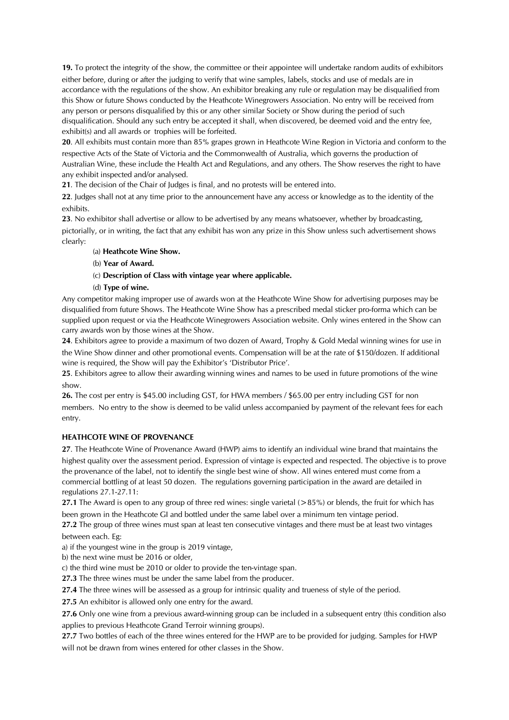19. To protect the integrity of the show, the committee or their appointee will undertake random audits of exhibitors either before, during or after the judging to verify that wine samples, labels, stocks and use of medals are in accordance with the regulations of the show. An exhibitor breaking any rule or regulation may be disqualified from this Show or future Shows conducted by the Heathcote Winegrowers Association. No entry will be received from any person or persons disqualified by this or any other similar Society or Show during the period of such disqualification. Should any such entry be accepted it shall, when discovered, be deemed void and the entry fee, exhibit(s) and all awards or trophies will be forfeited.

20. All exhibits must contain more than 85% grapes grown in Heathcote Wine Region in Victoria and conform to the respective Acts of the State of Victoria and the Commonwealth of Australia, which governs the production of Australian Wine, these include the Health Act and Regulations, and any others. The Show reserves the right to have any exhibit inspected and/or analysed.

21. The decision of the Chair of Judges is final, and no protests will be entered into.

22. Judges shall not at any time prior to the announcement have any access or knowledge as to the identity of the exhibits.

23. No exhibitor shall advertise or allow to be advertised by any means whatsoever, whether by broadcasting, pictorially, or in writing, the fact that any exhibit has won any prize in this Show unless such advertisement shows clearly:

#### (a) Heathcote Wine Show.

- (b) Year of Award.
- (c) Description of Class with vintage year where applicable.
- (d) Type of wine.

Any competitor making improper use of awards won at the Heathcote Wine Show for advertising purposes may be disqualified from future Shows. The Heathcote Wine Show has a prescribed medal sticker pro-forma which can be supplied upon request or via the Heathcote Winegrowers Association website. Only wines entered in the Show can carry awards won by those wines at the Show.

24. Exhibitors agree to provide a maximum of two dozen of Award, Trophy & Gold Medal winning wines for use in the Wine Show dinner and other promotional events. Compensation will be at the rate of \$150/dozen. If additional wine is required, the Show will pay the Exhibitor's 'Distributor Price'.

25. Exhibitors agree to allow their awarding winning wines and names to be used in future promotions of the wine show.

26. The cost per entry is \$45.00 including GST, for HWA members / \$65.00 per entry including GST for non members. No entry to the show is deemed to be valid unless accompanied by payment of the relevant fees for each entry.

#### HEATHCOTE WINE OF PROVENANCE

27. The Heathcote Wine of Provenance Award (HWP) aims to identify an individual wine brand that maintains the highest quality over the assessment period. Expression of vintage is expected and respected. The objective is to prove the provenance of the label, not to identify the single best wine of show. All wines entered must come from a commercial bottling of at least 50 dozen. The regulations governing participation in the award are detailed in regulations 27.1-27.11:

27.1 The Award is open to any group of three red wines: single varietal  $(>85%)$  or blends, the fruit for which has been grown in the Heathcote GI and bottled under the same label over a minimum ten vintage period.

27.2 The group of three wines must span at least ten consecutive vintages and there must be at least two vintages between each. Eg:

a) if the youngest wine in the group is 2019 vintage,

b) the next wine must be 2016 or older,

c) the third wine must be 2010 or older to provide the ten-vintage span.

27.3 The three wines must be under the same label from the producer.

27.4 The three wines will be assessed as a group for intrinsic quality and trueness of style of the period.

27.5 An exhibitor is allowed only one entry for the award.

27.6 Only one wine from a previous award-winning group can be included in a subsequent entry (this condition also applies to previous Heathcote Grand Terroir winning groups).

27.7 Two bottles of each of the three wines entered for the HWP are to be provided for judging. Samples for HWP will not be drawn from wines entered for other classes in the Show.